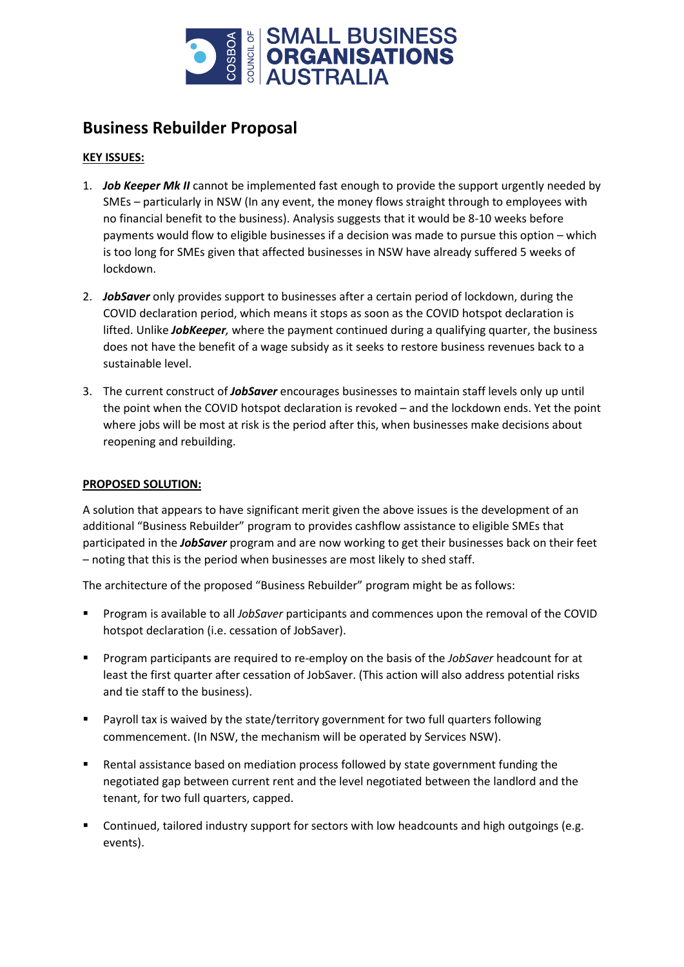

## **Business Rebuilder Proposal**

## **KEY ISSUES:**

- 1. *Job Keeper Mk II* cannot be implemented fast enough to provide the support urgently needed by SMEs – particularly in NSW (In any event, the money flows straight through to employees with no financial benefit to the business). Analysis suggests that it would be 8-10 weeks before payments would flow to eligible businesses if a decision was made to pursue this option – which is too long for SMEs given that affected businesses in NSW have already suffered 5 weeks of lockdown.
- 2. *JobSaver* only provides support to businesses after a certain period of lockdown, during the COVID declaration period, which means it stops as soon as the COVID hotspot declaration is lifted. Unlike *JobKeeper,* where the payment continued during a qualifying quarter, the business does not have the benefit of a wage subsidy as it seeks to restore business revenues back to a sustainable level.
- 3. The current construct of *JobSaver* encourages businesses to maintain staff levels only up until the point when the COVID hotspot declaration is revoked – and the lockdown ends. Yet the point where jobs will be most at risk is the period after this, when businesses make decisions about reopening and rebuilding.

## **PROPOSED SOLUTION:**

A solution that appears to have significant merit given the above issues is the development of an additional "Business Rebuilder" program to provides cashflow assistance to eligible SMEs that participated in the *JobSaver* program and are now working to get their businesses back on their feet – noting that this is the period when businesses are most likely to shed staff.

The architecture of the proposed "Business Rebuilder" program might be as follows:

- Program is available to all *JobSaver* participants and commences upon the removal of the COVID hotspot declaration (i.e. cessation of JobSaver).
- Program participants are required to re-employ on the basis of the *JobSaver* headcount for at least the first quarter after cessation of JobSaver. (This action will also address potential risks and tie staff to the business).
- Payroll tax is waived by the state/territory government for two full quarters following commencement. (In NSW, the mechanism will be operated by Services NSW).
- Rental assistance based on mediation process followed by state government funding the negotiated gap between current rent and the level negotiated between the landlord and the tenant, for two full quarters, capped.
- Continued, tailored industry support for sectors with low headcounts and high outgoings (e.g. events).